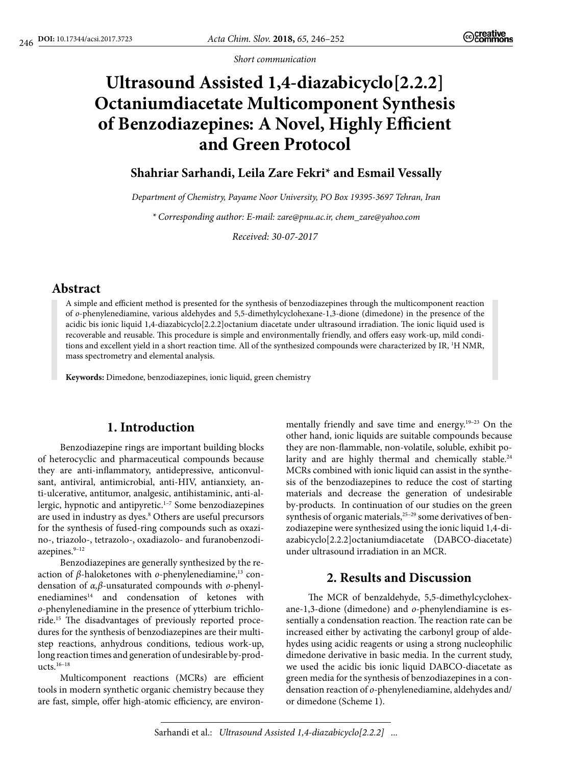*Short communication*

# **Ultrasound Assisted 1,4-diazabicyclo[2.2.2] Octaniumdiacetate Multicomponent Synthesis of Benzodiazepines: A Novel, Highly Efficient and Green Protocol**

## **Shahriar Sarhandi, Leila Zare Fekri\* and Esmail Vessally**

*Department of Chemistry, Payame Noor University, PO Box 19395-3697 Tehran, Iran*

*\* Corresponding author: E-mail: zare@pnu.ac.ir, chem\_zare@yahoo.com*

*Received: 30-07-2017*

## **Abstract**

A simple and efficient method is presented for the synthesis of benzodiazepines through the multicomponent reaction of *o*-phenylenediamine, various aldehydes and 5,5-dimethylcyclohexane-1,3-dione (dimedone) in the presence of the acidic bis ionic liquid 1,4-diazabicyclo[2.2.2]octanium diacetate under ultrasound irradiation. The ionic liquid used is recoverable and reusable. This procedure is simple and environmentally friendly, and offers easy work-up, mild conditions and excellent yield in a short reaction time. All of the synthesized compounds were characterized by IR, <sup>1</sup>H NMR, mass spectrometry and elemental analysis.

**Keywords:** Dimedone, benzodiazepines, ionic liquid, green chemistry

# **1. Introduction**

Benzodiazepine rings are important building blocks of heterocyclic and pharmaceutical compounds because they are anti-inflammatory, antidepressive, anticonvulsant, antiviral, antimicrobial, anti-HIV, antianxiety, anti-ulcerative, antitumor, analgesic, antihistaminic, anti-allergic, hypnotic and antipyretic.1–7 Some benzodiazepines are used in industry as dyes.8 Others are useful precursors for the synthesis of fused-ring compounds such as oxazino-, triazolo-, tetrazolo-, oxadiazolo- and furanobenzodiazepines.<sup>9-12</sup>

Benzodiazepines are generally synthesized by the reaction of *β*-haloketones with *o*-phenylenediamine,<sup>13</sup> condensation of *α,β*-unsaturated compounds with *o*-phenylenediamines<sup>14</sup> and condensation of ketones with *o*-phenylenediamine in the presence of ytterbium trichloride.15 The disadvantages of previously reported procedures for the synthesis of benzodiazepines are their multistep reactions, anhydrous conditions, tedious work-up, long reaction times and generation of undesirable by-products.16–18

Multicomponent reactions (MCRs) are efficient tools in modern synthetic organic chemistry because they are fast, simple, offer high-atomic efficiency, are environ-

mentally friendly and save time and energy.19–23 On the other hand, ionic liquids are suitable compounds because they are non-flammable, non-volatile, soluble, exhibit polarity and are highly thermal and chemically stable.<sup>24</sup> MCRs combined with ionic liquid can assist in the synthesis of the benzodiazepines to reduce the cost of starting materials and decrease the generation of undesirable by-products. In continuation of our studies on the green synthesis of organic materials, $25-29$  some derivatives of benzodiazepine were synthesized using the ionic liquid 1,4-diazabicyclo[2.2.2]octaniumdiacetate (DABCO-diacetate) under ultrasound irradiation in an MCR.

# **2. Results and Discussion**

The MCR of benzaldehyde, 5,5-dimethylcyclohexane-1,3-dione (dimedone) and *o*-phenylendiamine is essentially a condensation reaction. The reaction rate can be increased either by activating the carbonyl group of aldehydes using acidic reagents or using a strong nucleophilic dimedone derivative in basic media. In the current study, we used the acidic bis ionic liquid DABCO-diacetate as green media for the synthesis of benzodiazepines in a condensation reaction of *o*-phenylenediamine, aldehydes and/ or dimedone (Scheme 1).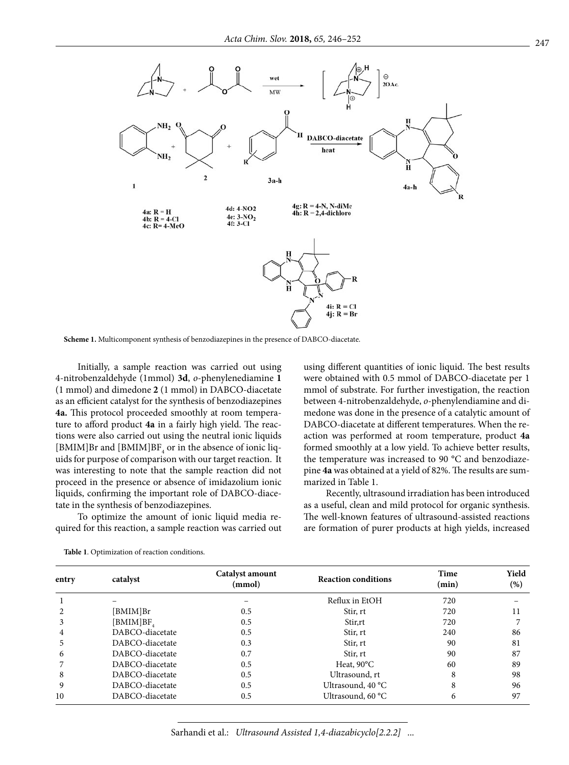

**Scheme 1.** Multicomponent synthesis of benzodiazepines in the presence of DABCO-diacetate.

Initially, a sample reaction was carried out using 4-nitrobenzaldehyde (1mmol) **3d**, *o*-phenylenediamine **1** (1 mmol) and dimedone **2** (1 mmol) in DABCO-diacetate as an efficient catalyst for the synthesis of benzodiazepines **4a.** This protocol proceeded smoothly at room temperature to afford product **4a** in a fairly high yield. The reactions were also carried out using the neutral ionic liquids [BMIM]Br and [BMIM]BF<sub>4</sub> or in the absence of ionic liquids for purpose of comparison with our target reaction. It was interesting to note that the sample reaction did not proceed in the presence or absence of imidazolium ionic liquids, confirming the important role of DABCO-diacetate in the synthesis of benzodiazepines.

To optimize the amount of ionic liquid media required for this reaction, a sample reaction was carried out using different quantities of ionic liquid. The best results were obtained with 0.5 mmol of DABCO-diacetate per 1 mmol of substrate. For further investigation, the reaction between 4-nitrobenzaldehyde, *o*-phenylendiamine and dimedone was done in the presence of a catalytic amount of DABCO-diacetate at different temperatures. When the reaction was performed at room temperature, product **4a** formed smoothly at a low yield. To achieve better results, the temperature was increased to 90 °C and benzodiazepine **4a** was obtained at a yield of 82%. The results are summarized in Table 1.

Recently, ultrasound irradiation has been introduced as a useful, clean and mild protocol for organic synthesis. The well-known features of ultrasound-assisted reactions are formation of purer products at high yields, increased

| entrv          | catalyst              | <b>Catalyst amount</b><br>(mmol) | <b>Reaction conditions</b> | Time<br>(min) | Yield<br>(%) |
|----------------|-----------------------|----------------------------------|----------------------------|---------------|--------------|
| 1              |                       |                                  | Reflux in EtOH             | 720           |              |
| 2              | [BMIM]Br              | 0.5                              | Stir, rt                   | 720           | 11           |
| 3              | [BMIM]BF <sub>4</sub> | 0.5                              | Stir.rt                    | 720           |              |
| $\overline{4}$ | DABCO-diacetate       | 0.5                              | Stir, rt                   | 240           | 86           |
| 5              | DABCO-diacetate       | 0.3                              | Stir, rt                   | 90            | 81           |
| 6              | DABCO-diacetate       | 0.7                              | Stir, rt                   | 90            | 87           |
| 7              | DABCO-diacetate       | 0.5                              | Heat, $90^{\circ}$ C       | 60            | 89           |
| 8              | DABCO-diacetate       | 0.5                              | Ultrasound, rt             | 8             | 98           |
| 9              | DABCO-diacetate       | 0.5                              | Ultrasound, 40 °C          | 8             | 96           |
| 10             | DABCO-diacetate       | 0.5                              | Ultrasound, 60 °C          | 6             | 97           |

**Table 1**. Optimization of reaction conditions.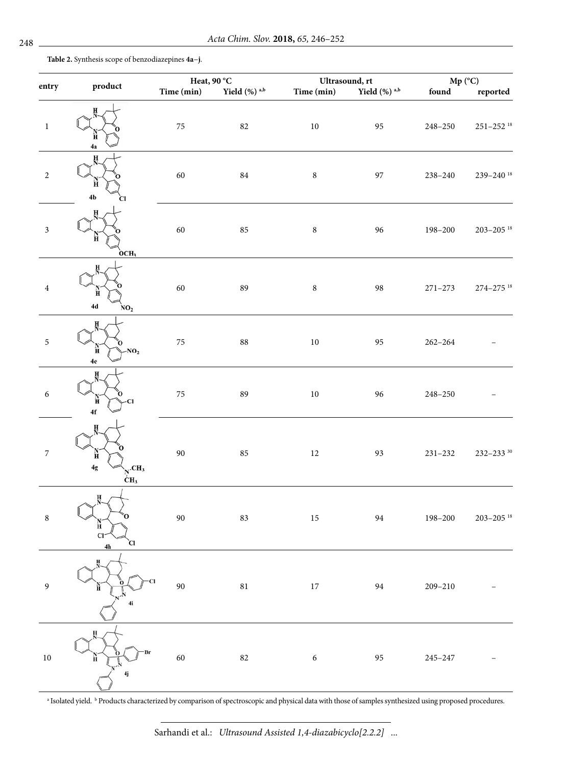**Table 2.** Synthesis scope of benzodiazepines **4a**–**j**.

|                  |                                                              | Heat, 90 °C |                             | Ultrasound, rt |                             | $Mp (^{\circ}C)$ |                           |
|------------------|--------------------------------------------------------------|-------------|-----------------------------|----------------|-----------------------------|------------------|---------------------------|
| entry            | product                                                      | Time (min)  | Yield $(\%)$ <sup>a,b</sup> | Time (min)     | Yield $(\%)$ <sup>a,b</sup> | found            | reported                  |
| $\,1\,$          | н<br>4а                                                      | $75\,$      | $82\,$                      | $10\,$         | 95                          | 248-250          | $251 - 252$ <sup>18</sup> |
| $\sqrt{2}$       | н<br>4b                                                      | 60          | $\bf 84$                    | $\, 8$         | 97                          | 238-240          | 239-240 $18$              |
| $\mathfrak z$    | OCH <sub>3</sub>                                             | 60          | 85                          | $\, 8$         | 96                          | 198-200          | $203 - 205$ <sup>18</sup> |
| $\bf 4$          | 4d<br>NO <sub>2</sub>                                        | 60          | 89                          | $\bf 8$        | 98                          | $271 - 273$      | $274 - 275$ <sup>18</sup> |
| $\mathfrak s$    | NO <sub>2</sub><br>Ħ<br>4e                                   | $75\,$      | $88\,$                      | $10\,$         | 95                          | $262 - 264$      |                           |
| $\boldsymbol{6}$ | Ħ<br>Cl<br>4f                                                | $75\,$      | 89                          | $10\,$         | 96                          | $248 - 250$      |                           |
| $\boldsymbol{7}$ | Ĥ<br>4g<br>$N$ <sup>.CH<sub>3</sub></sup><br>CH <sub>3</sub> | $90\,$      | 85                          | $12\,$         | 93                          | $231 - 232$      | $232 - 233$ <sup>30</sup> |
| $\,$ 8 $\,$      | н<br>О<br>н<br>Cl <sup>2</sup><br>Cl<br>4 <sub>h</sub>       | 90          | 83                          | $15\,$         | 94                          | 198-200          | $203 - 205$ <sup>18</sup> |
| $\boldsymbol{9}$ | н                                                            | 90          | $\bf 81$                    | $17\,$         | $\mathbf{94}$               | $209 - 210$      |                           |
| $10\,$           |                                                              | 60          | $82\,$                      | $\sqrt{6}$     | 95                          | $245 - 247$      |                           |

a Isolated yield. b Products characterized by comparison of spectroscopic and physical data with those of samples synthesized using proposed procedures.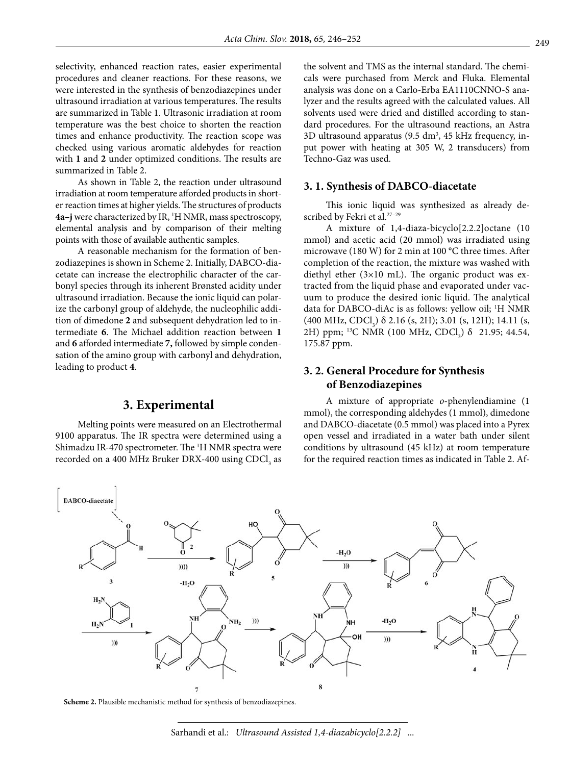selectivity, enhanced reaction rates, easier experimental procedures and cleaner reactions. For these reasons, we were interested in the synthesis of benzodiazepines under ultrasound irradiation at various temperatures. The results are summarized in Table 1. Ultrasonic irradiation at room temperature was the best choice to shorten the reaction times and enhance productivity. The reaction scope was checked using various aromatic aldehydes for reaction with **1** and **2** under optimized conditions. The results are summarized in Table 2.

As shown in Table 2, the reaction under ultrasound irradiation at room temperature afforded products in shorter reaction times at higher yields. The structures of products **4a–j** were characterized by IR, 1 H NMR, mass spectroscopy, elemental analysis and by comparison of their melting points with those of available authentic samples.

A reasonable mechanism for the formation of benzodiazepines is shown in Scheme 2. Initially, DABCO-diacetate can increase the electrophilic character of the carbonyl species through its inherent Brønsted acidity under ultrasound irradiation. Because the ionic liquid can polarize the carbonyl group of aldehyde, the nucleophilic addition of dimedone **2** and subsequent dehydration led to intermediate **6**. The Michael addition reaction between **1** and **6** afforded intermediate **7,** followed by simple condensation of the amino group with carbonyl and dehydration, leading to product **4**.

### **3. Experimental**

Melting points were measured on an Electrothermal 9100 apparatus. The IR spectra were determined using a Shimadzu IR-470 spectrometer. The <sup>1</sup>H NMR spectra were recorded on a 400 MHz Bruker DRX-400 using  $\mathrm{CDCl}_3$  as the solvent and TMS as the internal standard. The chemicals were purchased from Merck and Fluka. Elemental analysis was done on a Carlo-Erba EA1110CNNO-S analyzer and the results agreed with the calculated values. All solvents used were dried and distilled according to standard procedures. For the ultrasound reactions, an Astra 3D ultrasound apparatus  $(9.5 \text{ dm}^3, 45 \text{ kHz frequency}, \text{ in-}$ put power with heating at 305 W, 2 transducers) from Techno-Gaz was used.

#### **3. 1. Synthesis of DABCO-diacetate**

This ionic liquid was synthesized as already described by Fekri et al.<sup>27-29</sup>

A mixture of 1,4-diaza-bicyclo[2.2.2]octane (10 mmol) and acetic acid (20 mmol) was irradiated using microwave (180 W) for 2 min at 100 °C three times. After completion of the reaction, the mixture was washed with diethyl ether (3×10 mL). The organic product was extracted from the liquid phase and evaporated under vacuum to produce the desired ionic liquid. The analytical data for DABCO-diAc is as follows: yellow oil; 1 H NMR  $(400 \text{ MHz}, \text{CDCl}_3)$   $\delta$  2.16 (s, 2H); 3.01 (s, 12H); 14.11 (s, 2H) ppm; <sup>13</sup>C NMR (100 MHz, CDCl<sub>3</sub>) δ 21.95; 44.54, 175.87 ppm.

## **3. 2. General Procedure for Synthesis of Benzodiazepines**

A mixture of appropriate *o*-phenylendiamine (1 mmol), the corresponding aldehydes (1 mmol), dimedone and DABCO-diacetate (0.5 mmol) was placed into a Pyrex open vessel and irradiated in a water bath under silent conditions by ultrasound (45 kHz) at room temperature for the required reaction times as indicated in Table 2. Af-



**Scheme 2.** Plausible mechanistic method for synthesis of benzodiazepines.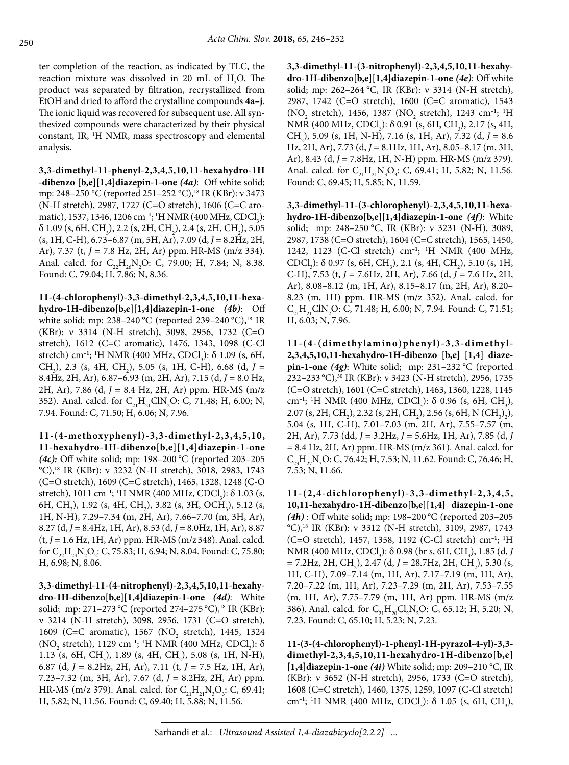ter completion of the reaction, as indicated by TLC, the reaction mixture was dissolved in 20 mL of  $H_2O$ . The product was separated by filtration, recrystallized from EtOH and dried to afford the crystalline compounds **4a–j**. The ionic liquid was recovered for subsequent use. All synthesized compounds were characterized by their physical constant, IR, 1 H NMR, mass spectroscopy and elemental analysis**.**

**3,3-dimethyl-11-phenyl-2,3,4,5,10,11-hexahydro-1H -dibenzo [b,e][1,4]diazepin-1-one** *(4a)*: Off white solid; mp: 248–250 °C (reported 251–252 °C),<sup>18</sup> IR (KBr): ν 3473 (N-H stretch), 2987, 1727 (C=O stretch), 1606 (C=C aromatic), 1537, 1346, 1206 cm<sup>-1</sup>; <sup>1</sup>H NMR (400 MHz, CDCl<sub>3</sub>):  $\delta$  1.09 (s, 6H, CH<sub>3</sub>), 2.2 (s, 2H, CH<sub>2</sub>), 2.4 (s, 2H, CH<sub>2</sub>), 5.05 (s, 1H, C-H), 6.73–6.87 (m, 5H, Ar), 7.09 (d, *J* = 8.2Hz, 2H, Ar), 7.37 (t, *J* = 7.8 Hz, 2H, Ar) ppm. HR-MS (m/z 334). Anal. calcd. for  $C_{22}H_{26}N_2O$ : C, 79.00; H, 7.84; N, 8.38. Found: C, 79.04; H, 7.86; N, 8.36.

**11-(4-chlorophenyl)-3,3-dimethyl-2,3,4,5,10,11-hexahydro-1H-dibenzo[b,e][1,4]diazepin-1-one** *(4b)*: Off white solid; mp: 238–240 °C (reported 239–240 °C),<sup>18</sup> IR (KBr): ν 3314 (N-H stretch), 3098, 2956, 1732 (C=O stretch), 1612 (C=C aromatic), 1476, 1343, 1098 (C-Cl stretch) cm<sup>-1</sup>; <sup>1</sup>H NMR (400 MHz, CDCl<sub>3</sub>): δ 1.09 (s, 6H, CH<sub>3</sub>), 2.3 (s, 4H, CH<sub>2</sub>), 5.05 (s, 1H, C-H), 6.68 (d, *J* = 8.4Hz, 2H, Ar), 6.87–6.93 (m, 2H, Ar), 7.15 (d, *J* = 8.0 Hz, 2H, Ar), 7.86 (d, *J* = 8.4 Hz, 2H, Ar) ppm. HR-MS (m/z 352). Anal. calcd. for  $C_{21}H_{21}CIN_{2}O$ : C, 71.48; H, 6.00; N, 7.94. Found: C, 71.50; H, 6.06; N, 7.96.

**11-(4-methoxyphenyl)-3,3-dimethyl-2,3,4,5,10, 11-hexahydro-1H-dibenzo[b,e][1,4]diazepin-1-one**  *(4c):* Off white solid; mp: 198–200 °C (reported 203–205 °C),18 IR (KBr): ν 3232 (N-H stretch), 3018, 2983, 1743 (C=O stretch), 1609 (C=C stretch), 1465, 1328, 1248 (C-O stretch), 1011 cm<sup>-1</sup>; <sup>1</sup>H NMR (400 MHz, CDCl<sub>3</sub>): δ 1.03 (s, 6H, CH<sub>3</sub>), 1.92 (s, 4H, CH<sub>2</sub>), 3.82 (s, 3H, OCH<sub>3</sub>), 5.12 (s, 1H, N-H), 7.29–7.34 (m, 2H, Ar), 7.66–7.70 (m, 3H, Ar), 8.27 (d, *J* = 8.4Hz, 1H, Ar), 8.53 (d, *J* = 8.0Hz, 1H, Ar), 8.87 (t, *J* = 1.6 Hz, 1H, Ar) ppm. HR-MS (m/z348). Anal. calcd. for  $C_{22}H_{24}N_2O_2$ : C, 75.83; H, 6.94; N, 8.04. Found: C, 75.80; H, 6.98; N, 8.06.

**3,3-dimethyl-11-(4-nitrophenyl)-2,3,4,5,10,11-hexahydro-1H-dibenzo[b,e][1,4]diazepin-1-one** *(4d)*: White solid; mp: 271–273 °C (reported 274–275 °C),<sup>18</sup> IR (KBr): ν 3214 (N-H stretch), 3098, 2956, 1731 (C=O stretch), 1609 (C=C aromatic), 1567 (NO<sub>2</sub> stretch), 1445, 1324 (NO<sub>2</sub> stretch), 1129 cm<sup>-1</sup>; <sup>1</sup>H NMR (400 MHz, CDCl<sub>3</sub>): δ 1.13 (s, 6H, CH<sub>3</sub>), 1.89 (s, 4H, CH<sub>2</sub>), 5.08 (s, 1H, N-H), 6.87 (d, *J* = 8.2Hz, 2H, Ar), 7.11 (t, *J* = 7.5 Hz, 1H, Ar), 7.23–7.32 (m, 3H, Ar), 7.67 (d, *J* = 8.2Hz, 2H, Ar) ppm. HR-MS (m/z 379). Anal. calcd. for  $C_{21}H_{21}N_3O_3$ : C, 69.41; H, 5.82; N, 11.56. Found: C, 69.40; H, 5.88; N, 11.56.

**3,3-dimethyl-11-(3-nitrophenyl)-2,3,4,5,10,11-hexahydro-1H-dibenzo[b,e][1,4]diazepin-1-one** *(4e)*: Off white solid; mp: 262–264 °C, IR (KBr): ν 3314 (N-H stretch), 2987, 1742 (C=O stretch), 1600 (C=C aromatic), 1543 (NO<sub>2</sub> stretch), 1456, 1387 (NO<sub>2</sub> stretch), 1243 cm<sup>-1</sup>; <sup>1</sup>H NMR (400 MHz, CDCl<sub>3</sub>):  $\delta$  0.91 (s, 6H, CH<sub>3</sub>), 2.17 (s, 4H, CH2 ), 5.09 (s, 1H, N-H), 7.16 (s, 1H, Ar), 7.32 (d, *J* = 8.6 Hz, 2H, Ar), 7.73 (d, *J* = 8.1Hz, 1H, Ar), 8.05–8.17 (m, 3H, Ar), 8.43 (d, *J* = 7.8Hz, 1H, N-H) ppm. HR-MS (m/z 379). Anal. calcd. for  $C_{21}H_{21}N_3O_3$ : C, 69.41; H, 5.82; N, 11.56. Found: C, 69.45; H, 5.85; N, 11.59.

**3,3-dimethyl-11-(3-chlorophenyl)-2,3,4,5,10,11-hexahydro-1H-dibenzo[b,e][1,4]diazepin-1-one** *(4f)*: White solid; mp: 248–250 °C, IR (KBr): ν 3231 (N-H), 3089, 2987, 1738 (C=O stretch), 1604 (C=C stretch), 1565, 1450, 1242, 1123 (C-Cl stretch) cm**–1**; 1 H NMR (400 MHz, CDCl<sub>3</sub>):  $\delta$  0.97 (s, 6H, CH<sub>3</sub>), 2.1 (s, 4H, CH<sub>2</sub>), 5.10 (s, 1H, C-H), 7.53 (t, *J* = 7.6Hz, 2H, Ar), 7.66 (d, *J* = 7.6 Hz, 2H, Ar), 8.08–8.12 (m, 1H, Ar), 8.15–8.17 (m, 2H, Ar), 8.20– 8.23 (m, 1H) ppm. HR-MS (m/z 352). Anal. calcd. for  $C_{21}H_{21}CN_{2}O$ : C, 71.48; H, 6.00; N, 7.94. Found: C, 71.51; H, 6.03; N, 7.96.

**11-(4-(dimethylamino)phenyl)-3,3-dimethyl-2,3,4,5,10,11-hexahydro-1H-dibenzo [b,e] [1,4] diazepin-1-one** *(4g)*: White solid; mp: 231–232 °C (reported 232–233 °C),30 IR (KBr): ν 3423 (N-H stretch), 2956, 1735 (C=O stretch), 1601 (C=C stretch), 1463, 1360, 1228, 1145 cm<sup>-1</sup>; <sup>1</sup>H NMR (400 MHz, CDCl<sub>3</sub>): δ 0.96 (s, 6H, CH<sub>3</sub>), 2.07 (s, 2H, CH<sub>2</sub>), 2.32 (s, 2H, CH<sub>2</sub>), 2.56 (s, 6H, N (CH<sub>3</sub>)<sub>2</sub>), 5.04 (s, 1H, C-H), 7.01–7.03 (m, 2H, Ar), 7.55–7.57 (m, 2H, Ar), 7.73 (dd, *J* = 3.2Hz, *J* = 5.6Hz, 1H, Ar), 7.85 (d, *J* = 8.4 Hz, 2H, Ar) ppm. HR-MS (m/z 361). Anal. calcd. for  $C_{23}H_{27}N_3O$ : C, 76.42; H, 7.53; N, 11.62. Found: C, 76.46; H, 7.53; N, 11.66.

**11-(2,4-dichlorophenyl)-3,3-dimethyl-2,3,4,5, 10,11-hexahydro-1H-dibenzo[b,e][1,4] diazepin-1-one**  *(4h)* : Off white solid; mp: 198–200 °C (reported 203–205 °C),18 IR (KBr): ν 3312 (N-H stretch), 3109, 2987, 1743 (C=O stretch), 1457, 1358, 1192 (C-Cl stretch) cm**–1**; 1 H NMR (400 MHz, CDCl<sub>3</sub>): δ 0.98 (br s, 6H, CH<sub>3</sub>), 1.85 (d, *J*  $= 7.2$ Hz, 2H, CH<sub>2</sub>), 2.47 (d, J = 28.7Hz, 2H, CH<sub>2</sub>), 5.30 (s, 1H, C-H), 7.09–7.14 (m, 1H, Ar), 7.17–7.19 (m, 1H, Ar), 7.20–7.22 (m, 1H, Ar), 7.23–7.29 (m, 2H, Ar), 7.53–7.55 (m, 1H, Ar), 7.75–7.79 (m, 1H, Ar) ppm. HR-MS (m/z 386). Anal. calcd. for  $C_{21}H_{20}Cl_2N_2O$ : C, 65.12; H, 5.20; N, 7.23. Found: C, 65.10; H, 5.23; N, 7.23.

**11-(3-(4-chlorophenyl)-1-phenyl-1H-pyrazol-4-yl)-3,3 dimethyl-2,3,4,5,10,11-hexahydro-1H-dibenzo[b,e] [1,4]diazepin-1-one** *(4i)* White solid; mp: 209–210 °C, IR (KBr): ν 3652 (N-H stretch), 2956, 1733 (C=O stretch), 1608 (C=C stretch), 1460, 1375, 1259, 1097 (C-Cl stretch) cm<sup>-1</sup>; <sup>1</sup>H NMR (400 MHz, CDCl<sub>3</sub>): δ 1.05 (s, 6H, CH<sub>3</sub>),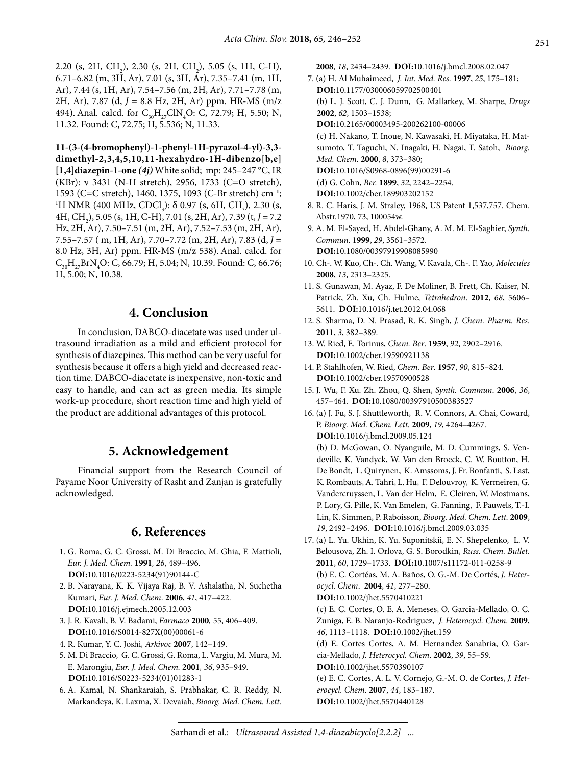2.20 (s, 2H, CH<sub>2</sub>), 2.30 (s, 2H, CH<sub>2</sub>), 5.05 (s, 1H, C-H), 6.71–6.82 (m, 3H, Ar), 7.01 (s, 3H, Ar), 7.35–7.41 (m, 1H, Ar), 7.44 (s, 1H, Ar), 7.54–7.56 (m, 2H, Ar), 7.71–7.78 (m, 2H, Ar), 7.87 (d, *J* = 8.8 Hz, 2H, Ar) ppm. HR-MS (m/z 494). Anal. calcd. for  $C_{30}H_{27}CN_4O$ : C, 72.79; H, 5.50; N, 11.32. Found: C, 72.75; H, 5.536; N, 11.33.

**11-(3-(4-bromophenyl)-1-phenyl-1H-pyrazol-4-yl)-3,3 dimethyl-2,3,4,5,10,11-hexahydro-1H-dibenzo[b,e] [1,4]diazepin-1-one** *(4j)* White solid; mp: 245–247 °C, IR (KBr): ν 3431 (N-H stretch), 2956, 1733 (C=O stretch), 1593 (C=C stretch), 1460, 1375, 1093 (C-Br stretch) cm**–1**; 1 H NMR (400 MHz, CDCl<sub>3</sub>): δ 0.97 (s, 6H, CH<sub>3</sub>), 2.30 (s, 4H, CH2 ), 5.05 (s, 1H, C-H), 7.01 (s, 2H, Ar), 7.39 (t, *J* = 7.2 Hz, 2H, Ar), 7.50–7.51 (m, 2H, Ar), 7.52–7.53 (m, 2H, Ar), 7.55–7.57 ( m, 1H, Ar), 7.70–7.72 (m, 2H, Ar), 7.83 (d, *J* = 8.0 Hz, 3H, Ar) ppm. HR-MS (m/z 538). Anal. calcd. for  $C_{30}H_{27}BrN_4O$ : C, 66.79; H, 5.04; N, 10.39. Found: C, 66.76; H, 5.00; N, 10.38.

# **4. Conclusion**

In conclusion, DABCO-diacetate was used under ultrasound irradiation as a mild and efficient protocol for synthesis of diazepines. This method can be very useful for synthesis because it offers a high yield and decreased reaction time. DABCO-diacetate is inexpensive, non-toxic and easy to handle, and can act as green media. Its simple work-up procedure, short reaction time and high yield of the product are additional advantages of this protocol.

## **5. Acknowledgement**

Financial support from the Research Council of Payame Noor University of Rasht and Zanjan is gratefully acknowledged.

## **6. References**

- 1. G. Roma, G. C. Grossi, M. Di Braccio, M. Ghia, F. Mattioli, *Eur. J. Med. Chem.* **1991***, 26*, 489–496. **DOI:**[10.1016/0223-5234\(91\)90144-C](https://doi.org/10.1016/0223-5234(91)90144-C)
- 2. B. Narayana, K. K. Vijaya Raj, B. V. Ashalatha, N. Suchetha Kumari, *Eur. J. Med. Chem*. **2006**, *41*, 417–422. **DOI:**[10.1016/j.ejmech.2005.12.003](https://doi.org/10.1016/j.ejmech.2005.12.003)
- 3. J. R. Kavali, B. V. Badami, *Farmaco* **2000***,* 55, 406–409. **DOI:**[10.1016/S0014-827X\(00\)00061-6](https://doi.org/10.1016/S0014-827X(00)00061-6)
- 4. R. Kumar, Y. C. Joshi*, Arkivoc* **2007**, 142–149.
- 5. M. Di Braccio, G. C. Grossi, G. Roma, L. Vargiu, M. Mura, M. E. Marongiu, *Eur. J. Med. Chem.* **2001***, 36*, 935–949. **DOI:**[10.1016/S0223-5234\(01\)01283-1](https://doi.org/10.1016/S0223-5234(01)01283-1)
- 6. A. Kamal, N. Shankaraiah, S. Prabhakar, C. R. Reddy, N. Markandeya, K. Laxma, X. Devaiah, *Bioorg. Med. Chem. Lett.*
- **2008***, 18*, 2434–2439. **DOI:**[10.1016/j.bmcl.2008.02.047](https://doi.org/10.1016/j.bmcl.2008.02.047)
- 7. (a) H. Al Muhaimeed, *J. Int. Med. Res*. **1997**, *25*, 175–181; **DOI:**[10.1177/030006059702500401](https://doi.org/10.1177/030006059702500401) (b) L. J. Scott, C. J. Dunn, G. Mallarkey, M. Sharpe, *Drugs* **2002**, *62*, 1503–1538; **DOI:**[10.2165/00003495-200262100-00006](https://doi.org/10.2165/00003495-200262100-00006) (c) H. Nakano, T. Inoue, N. Kawasaki, H. Miyataka, H. Matsumoto, T. Taguchi, N. Inagaki, H. Nagai, T. Satoh, *Bioorg. Med. Chem*. **2000**, *8*, 373–380; **DOI:**[10.1016/S0968-0896\(99\)00291-6](https://doi.org/10.1016/S0968-0896(99)00291-6) (d) G. Cohn, *Ber.* **1899**, *32*, 2242–2254. **DOI:**[10.1002/cber.189903202152](https://doi.org/10.1002/cber.189903202152) 8. R. C. Haris, J. M. Straley, 1968, US Patent 1,537,757. Chem.
- Abstr.1970, 73, 100054w. 9. A. M. El-Sayed, H. Abdel-Ghany, A. M. M. El-Saghier, *Synth.*
- *Commun*. 1**999**, *29*, 3561–3572. **DOI:**[10.1080/00397919908085990](https://doi.org/10.1080/00397919908085990)
- 10. Ch-. W. Kuo, Ch-. Ch. Wang, V. Kavala, Ch-. F. Yao, *Molecules* **2008**, *13*, 2313–2325.
- 11. S. Gunawan, M. Ayaz, F. De Moliner, B. Frett, Ch. Kaiser, N. Patrick, Zh. Xu, Ch. Hulme, *Tetrahedron*. **2012**, *68*, 5606– 5611. **DOI:**[10.1016/j.tet.2012.04.068](https://doi.org/10.1016/j.tet.2012.04.068)
- 12. S. Sharma, D. N. Prasad, R. K. Singh, *J. Chem. Pharm. Res*. **2011**, *3*, 382–389.
- 13. W. Ried, E. Torinus, *Chem. Ber*. **1959**, *92*, 2902–2916. **DOI:**[10.1002/cber.19590921138](https://doi.org/10.1002/cber.19590921138)
- 14. P. Stahlhofen, W. Ried, *Chem. Ber*. **1957**, *90*, 815–824. **DOI:**[10.1002/cber.19570900528](https://doi.org/10.1002/cber.19570900528)
- 15. J. Wu, F. Xu. Zh. Zhou, Q. Shen, *Synth. Commun*. **2006**, *36*, 457–464. **DOI:**[10.1080/00397910500383527](https://doi.org/10.1080/00397910500383527)
- 16. (a) J. Fu, S. J. Shuttleworth, R. V. Connors, A. Chai, Coward, P. *Bioorg. Med. Chem. Lett.* **2009**, *19*, 4264–4267. **DOI:**[10.1016/j.bmcl.2009.05.124](https://doi.org/10.1016/j.bmcl.2009.05.124) (b) D. McGowan, O. Nyanguile, M. D. Cummings, S. Vendeville, K. Vandyck, W. Van den Broeck, C. W. Boutton, H. De Bondt, L. Quirynen, K. Amssoms, J. Fr. Bonfanti, S. Last, K. Rombauts, A. Tahri, L. Hu, F. Delouvroy, K. Vermeiren, G. Vandercruyssen, L. Van der Helm, E. Cleiren, W. Mostmans, P. Lory, G. Pille, K. Van Emelen, G. Fanning, F. Pauwels, T.-I. Lin, K. Simmen, P. Raboisson, *Bioorg. Med. Chem. Lett.* **2009**, *19*, 2492–2496. **DOI:**[10.1016/j.bmcl.2009.03.035](https://doi.org/10.1016/j.bmcl.2009.03.035)
- 17. (a) L. Yu. Ukhin, K. Yu. Suponitskii, E. N. Shepelenko, L. V. Belousova, Zh. I. Orlova, G. S. Borodkin, *Russ. Chem. Bullet*. **2011**, *60*, 1729–1733. **DOI:**[10.1007/s11172-011-0258-9](https://doi.org/10.1007/s11172-011-0258-9) (b) E. C. Cortéas, M. A. Baños, O. G.-M. De Cortés, *J. Heterocycl. Chem*. **2004**, *41*, 277–280. **DOI:**[10.1002/jhet.5570410221](https://doi.org/10.1002/jhet.5570410221) (c) E. C. Cortes, O. E. A. Meneses, O. Garcia-Mellado, O. C. Zuniga, E. B. Naranjo-Rodriguez, *J. Heterocycl. Chem*. **2009**, *46*, 1113–1118. **DOI:**[10.1002/jhet.159](https://doi.org/10.1002/jhet.159) (d) E. Cortes Cortes, A. M. Hernandez Sanabria, O. Garcia-Mellado, *J. Heterocycl. Chem*. **2002**, *39*, 55–59. **DOI:**[10.1002/jhet.5570390107](https://doi.org/10.1002/jhet.5570390107) (e) E. C. Cortes, A. L. V. Cornejo, G.-M. O. de Cortes, *J. Het-*

*erocycl. Chem*. **2007**, *44*, 183–187. **DOI:**[10.1002/jhet.5570440128](https://doi.org/10.1002/jhet.5570440128)